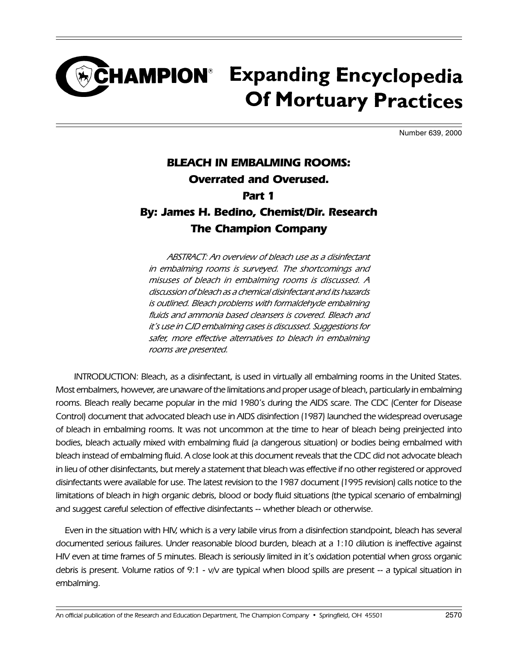## **CHAMPION**<sup>®</sup> Expanding Encyclopedia **Of Mortuary Practices**

Number 639, 2000

#### BLEACH IN EMBALMING ROOMS: Overrated and Overused. Part 1 By: James H. Bedino, Chemist/Dir. Research The Champion Company

ABSTRACT: An overview of bleach use as a disinfectant in embalming rooms is surveyed. The shortcomings and misuses of bleach in embalming rooms is discussed. A discussion of bleach as a chemical disinfectant and its hazards is outlined. Bleach problems with formaldehyde embalming fluids and ammonia based cleansers is covered. Bleach and it's use in CJD embalming cases is discussed. Suggestions for safer, more effective alternatives to bleach in embalming rooms are presented.

INTRODUCTION: Bleach, as a disinfectant, is used in virtually all embalming rooms in the United States. Most embalmers, however, are unaware of the limitations and proper usage of bleach, particularly in embalming rooms. Bleach really became popular in the mid 1980's during the AIDS scare. The CDC (Center for Disease Control) document that advocated bleach use in AIDS disinfection (1987) launched the widespread overusage of bleach in embalming rooms. It was not uncommon at the time to hear of bleach being preinjected into bodies, bleach actually mixed with embalming fluid (a dangerous situation) or bodies being embalmed with bleach instead of embalming fluid. A close look at this document reveals that the CDC did not advocate bleach in lieu of other disinfectants, but merely a statement that bleach was effective if no other registered or approved disinfectants were available for use. The latest revision to the 1987 document (1995 revision) calls notice to the limitations of bleach in high organic debris, blood or body fluid situations (the typical scenario of embalming) and suggest careful selection of effective disinfectants -- whether bleach or otherwise.

Even in the situation with HIV, which is a very labile virus from a disinfection standpoint, bleach has several documented serious failures. Under reasonable blood burden, bleach at a 1:10 dilution is ineffective against HIV even at time frames of 5 minutes. Bleach is seriously limited in it's oxidation potential when gross organic debris is present. Volume ratios of 9:1 - v/v are typical when blood spills are present -- a typical situation in embalming.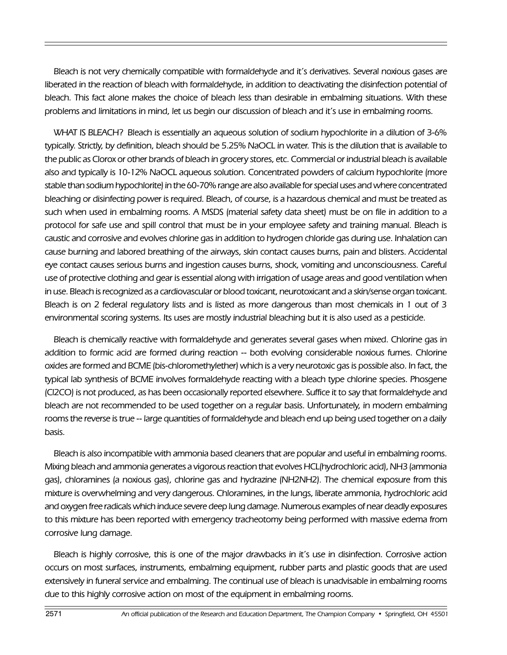Bleach is not very chemically compatible with formaldehyde and it's derivatives. Several noxious gases are liberated in the reaction of bleach with formaldehyde, in addition to deactivating the disinfection potential of bleach. This fact alone makes the choice of bleach less than desirable in embalming situations. With these problems and limitations in mind, let us begin our discussion of bleach and it's use in embalming rooms.

WHAT IS BLEACH? Bleach is essentially an aqueous solution of sodium hypochlorite in a dilution of 3-6% typically. Strictly, by definition, bleach should be 5.25% NaOCL in water. This is the dilution that is available to the public as Clorox or other brands of bleach in grocery stores, etc. Commercial or industrial bleach is available also and typically is 10-12% NaOCL aqueous solution. Concentrated powders of calcium hypochlorite (more stable than sodium hypochlorite) in the 60-70% range are also available for special uses and where concentrated bleaching or disinfecting power is required. Bleach, of course, is a hazardous chemical and must be treated as such when used in embalming rooms. A MSDS (material safety data sheet) must be on file in addition to a protocol for safe use and spill control that must be in your employee safety and training manual. Bleach is caustic and corrosive and evolves chlorine gas in addition to hydrogen chloride gas during use. Inhalation can cause burning and labored breathing of the airways, skin contact causes burns, pain and blisters. Accidental eye contact causes serious burns and ingestion causes burns, shock, vomiting and unconsciousness. Careful use of protective clothing and gear is essential along with irrigation of usage areas and good ventilation when in use. Bleach is recognized as a cardiovascular or blood toxicant, neurotoxicant and a skin/sense organ toxicant. Bleach is on 2 federal regulatory lists and is listed as more dangerous than most chemicals in 1 out of 3 environmental scoring systems. Its uses are mostly industrial bleaching but it is also used as a pesticide.

Bleach is chemically reactive with formaldehyde and generates several gases when mixed. Chlorine gas in addition to formic acid are formed during reaction -- both evolving considerable noxious fumes. Chlorine oxides are formed and BCME (bis-chloromethylether) which is a very neurotoxic gas is possible also. In fact, the typical lab synthesis of BCME involves formaldehyde reacting with a bleach type chlorine species. Phosgene (Cl2CO) is not produced, as has been occasionally reported elsewhere. Suffice it to say that formaldehyde and bleach are not recommended to be used together on a regular basis. Unfortunately, in modern embalming rooms the reverse is true -- large quantities of formaldehyde and bleach end up being used together on a daily basis.

Bleach is also incompatible with ammonia based cleaners that are popular and useful in embalming rooms. Mixing bleach and ammonia generates a vigorous reaction that evolves HCL(hydrochloric acid), NH3 (ammonia gas), chloramines (a noxious gas), chlorine gas and hydrazine (NH2NH2). The chemical exposure from this mixture is overwhelming and very dangerous. Chloramines, in the lungs, liberate ammonia, hydrochloric acid and oxygen free radicals which induce severe deep lung damage. Numerous examples of near deadly exposures to this mixture has been reported with emergency tracheotomy being performed with massive edema from corrosive lung damage.

Bleach is highly corrosive, this is one of the major drawbacks in it's use in disinfection. Corrosive action occurs on most surfaces, instruments, embalming equipment, rubber parts and plastic goods that are used extensively in funeral service and embalming. The continual use of bleach is unadvisable in embalming rooms due to this highly corrosive action on most of the equipment in embalming rooms.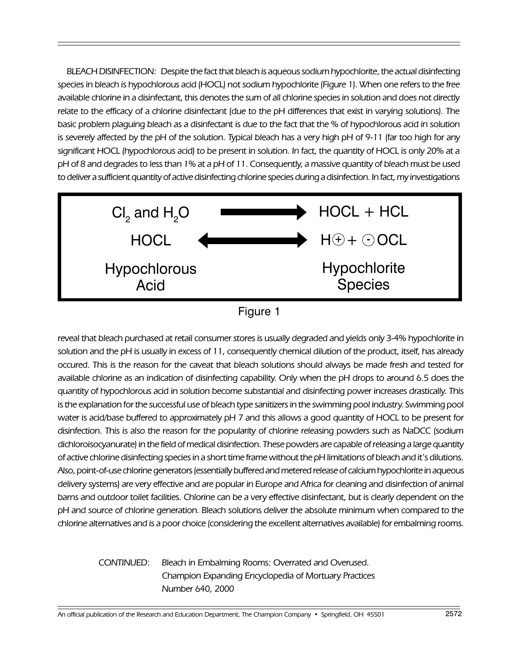BLEACH DISINFECTION: Despite the fact that bleach is aqueous sodium hypochlorite, the actual disinfecting species in bleach is hypochlorous acid (HOCL) not sodium hypochlorite (Figure 1). When one refers to the free available chlorine in a disinfectant, this denotes the sum of all chlorine species in solution and does not directly relate to the efficacy of a chlorine disinfectant (due to the pH differences that exist in varying solutions). The basic problem plaguing bleach as a disinfectant is due to the fact that the % of hypochlorous acid in solution is severely affected by the pH of the solution. Typical bleach has a very high pH of 9-11 (far too high for any significant HOCL (hypochlorous acid) to be present in solution. In fact, the quantity of HOCL is only 20% at a pH of 8 and degrades to less than 1% at a pH of 11. Consequently, a massive quantity of bleach must be used to deliver a sufficient quantity of active disinfecting chlorine species during a disinfection. In fact, my investigations



Figure 1

reveal that bleach purchased at retail consumer stores is usually degraded and yields only 3-4% hypochlorite in solution and the pH is usually in excess of 11, consequently chemical dilution of the product, itself, has already occured. This is the reason for the caveat that bleach solutions should always be made fresh and tested for available chlorine as an indication of disinfecting capability. Only when the pH drops to around 6.5 does the quantity of hypochlorous acid in solution become substantial and disinfecting power increases drastically. This is the explanation for the successful use of bleach type sanitizers in the swimming pool industry. Swimming pool water is acid/base buffered to approximately pH 7 and this allows a good quantity of HOCL to be present for disinfection. This is also the reason for the popularity of chlorine releasing powders such as NaDCC (sodium dichloroisocyanurate) in the field of medical disinfection. These powders are capable of releasing a large quantity of active chlorine disinfecting species in a short time frame without the pH limitations of bleach and it's dilutions. Also, point-of-use chlorine generators (essentially buffered and metered release of calcium hypochlorite in aqueous delivery systems) are very effective and are popular in Europe and Africa for cleaning and disinfection of animal barns and outdoor toilet facilities. Chlorine can be a very effective disinfectant, but is clearly dependent on the pH and source of chlorine generation. Bleach solutions deliver the absolute minimum when compared to the chlorine alternatives and is a poor choice (considering the excellent alternatives available) for embalming rooms.

> CONTINUED: Bleach in Embalming Rooms: Overrated and Overused. Champion Expanding Encyclopedia of Mortuary Practices Number 640, 2000